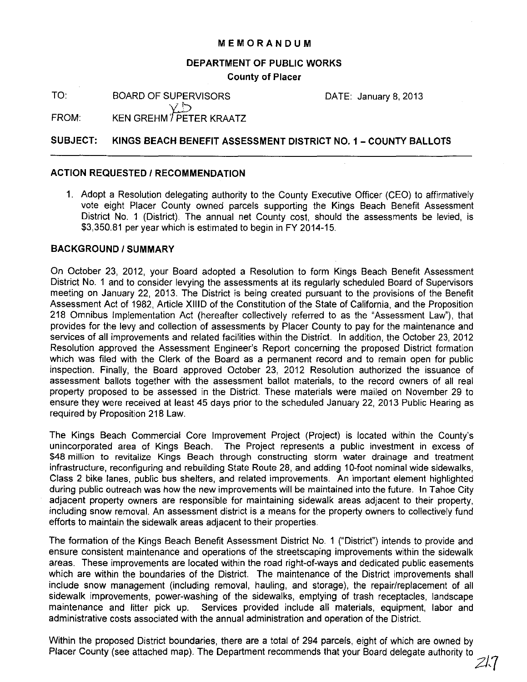## MEMORANDUM

#### DEPARTMENT OF PUBLIC WORKS

County of Placer

TO: BOARD OF SUPERVISORS

DATE: January 8, 2013

 $\chi_{\rm D}$ FROM: KEN GREHM ' PETER KRAATZ

# SUBJECT: KINGS BEACH BENEFIT ASSESSMENT DISTRICT NO. 1 - COUNTY BALLOTS

#### ACTION REQUESTED / RECOMMENDATION

1. Adopt a Resolution delegating authority to the County Executive Officer (CEO) to affirmatively vote eight Placer County owned parcels supporting the Kings Beach Benefit Assessment District No. 1 (District). The annual net County cost, should the assessments be levied, is \$3,350.81 per year which is estimated to begin in FY 2014-15.

## BACKGROUND / SUMMARY

On October 23, 2012, your Board adopted a Resolution to form Kings Beach Benefit Assessment District No. 1 and to consider levying the assessments at its regularly scheduled Board of Supervisors meeting on January 22, 2013. The District is being created pursuant to the provisions of the Benefit Assessment Act of 1982, Article XIIiD of the Constitution of the State of California, and the Proposition 218 Omnibus Implementation Act (hereafter collectively referred to as the "Assessment Law"), that provides for the levy and collection of assessments by Placer County to pay for the maintenance and services of all improvements and related facilities within the District. In addition, the October 23, 2012 Resolution approved the Assessment Engineer's Report concerning the proposed District formation which was filed with the Clerk of the Board as a permanent record and to remain open for public inspection. Finally, the Board approved October 23, 2012 Resolution authorized the issuance of assessment ballots together with the assessment ballot materials, to the record owners of all real property proposed to be assessed in the District. These materials were mailed on November 29 to ensure they were received at least 45 days prior to the scheduled January 22, 2013 Public Hearing as required by Proposition 218 Law.

The Kings Beach Commercial Core Improvement Project (Project) is located within the County's unincorporated area of Kings Beach. The Project represents a public investment in excess of \$48 million to revitalize Kings Beach through constructing storm water drainage and treatment infrastructure, reconfiguring and rebuilding State Route 28, and adding 10-foot nominal wide sidewalks, Class 2 bike lanes, public bus shelters, and related improvements. An important element highlighted during public outreach was how the new improvements will be maintained into the future. In Tahoe City adjacent property owners are responsible for maintaining sidewalk areas adjacent to their property, including snow removal. An assessment district is a means for the property owners to collectively fund efforts to maintain the sidewalk areas adjacent to their properties.

The formation of the Kings Beach Benefit Assessment District No. 1 ("District") intends to provide and ensure consistent maintenance and operations of the streetscaping improvements within the sidewalk areas. These improvements are located within the road right-of-ways and dedicated public easements which are within the boundaries of the District. The maintenance of the District improvements shall include snow management (including removal, hauling, and storage), the repair/replacement of all sidewalk improvements, power-washing of the sidewalks, emptying of trash receptacles, landscape maintenance and litter pick up. Services provided include all materials, equipment, labor and administrative costs associated with the annual administration and operation of the District.

Within the proposed District boundaries, there are a total of 294 parcels, eight of which are owned by Placer County (see attached map). The Department recommends that your Board delegate authority to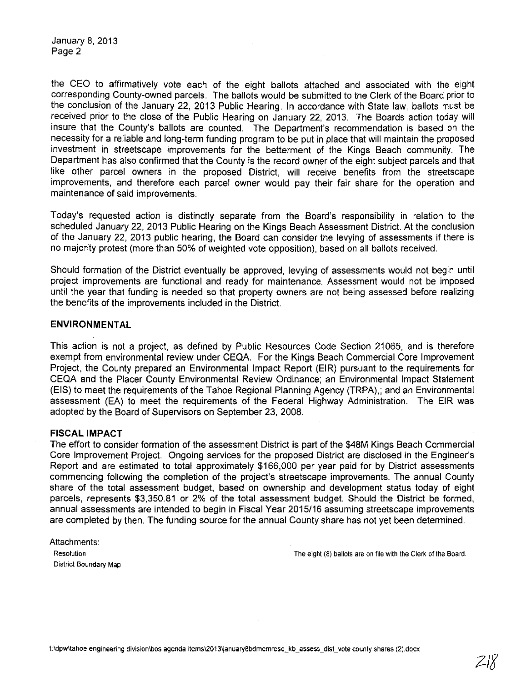January 8, 2013 Page 2

the CEO to affirmatively vote each of the eight ballots attached and associated with the eight corresponding County-owned parcels. The ballots would be submitted to the Clerk of the Board prior to the conclusion of the January 22, 2013 Public Hearing. In accordance with State law, ballots must be received prior to the close of the Public Hearing on January 22, 2013. The Boards action today will insure that the County's ballots are counted. The Department's recommendation is based on the necessity for a reliable and long-term funding program to be put in place that will maintain the proposed investment in streetscape improvements for the betterment of the Kings Beach community. The Department has also confirmed that the County is the record owner of the eight subject parcels and that like other parcel owners in the proposed District, will receive benefits from the streetscape improvements, and therefore each parcel owner would pay their fair share for the operation and maintenance of said improvements.

Today's requested action is distinctly separate from the Board's responsibility in relation to the scheduled January 22, 2013 Public Hearing on the Kings Beach Assessment District. At the conclusion of the January 22, 2013 public hearing, the Board can consider the levying of assessments if there is no majority protest (more than 50% of weighted vote opposition), based on all ballots received.

Should formation of the District eventually be approved, levying of assessments would not begin until project improvements are functional and ready for maintenance. Assessment would not be imposed until the year that funding is needed so that property owners are not being assessed before realizing the benefits of the improvements included in the District.

#### **ENVIRONMENTAL**

This action is not a project, as defined by Public Resources Code Section 21065, and is therefore exempt from environmental review under CEOA. For the Kings Beach Commercial Core Improvement Project, the County prepared an Environmental Impact Report (EIR) pursuant to the requirements for CEOA and the Placer County Environmental Review Ordinance; an Environmental Impact Statement (EIS) to meet the requirements of the Tahoe Regional Planning Agency (TRPA),; and an Environmental assessment (EA) to meet the requirements of the Federal Highway Administration. The EIR was adopted by the Board of Supervisors on September 23, 2008.

# **FISCAL IMPACT**

The effort to consider formation of the assessment District is part of the \$48M Kings Beach Commercial Core Improvement Project. Ongoing services for the proposed District are disclosed in the Engineer's Report and are estimated to total approximately \$166,000 per year paid for by District assessments commencing following the completion of the project's streetscape improvements. The annual County share of the total assessment budget, based on ownership and development status today of eight parcels, represents \$3,350.81 or 2% of the total assessment budget. Should the District be formed, annual assessments are intended to begin in Fiscal Year 2015/16 assuming streetscape improvements are completed by then. The funding source for the annual County share has not yet been determined.

Attachments: **District Boundary Map** 

**Resolution** The eight (8) ballots are on file with the Clerk of the Board.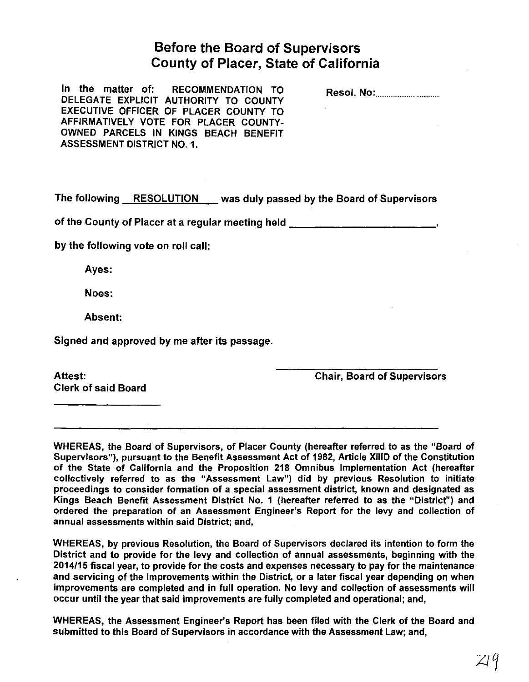# Before the Board of Supervisors County of Placer, State of California

In the matter of: RECOMMENDATION TO DELEGATE EXPLICIT AUTHORITY TO COUNTY EXECUTIVE OFFICER OF PLACER COUNTY TO AFFIRMATIVELY VOTE FOR PLACER COUNTY-OWNED PARCELS IN KINGS BEACH BENEFIT ASSESSMENT DISTRICT NO.1.

Resol. No: ................................. .

The following RESOLUTION was duly passed by the Board of Supervisors

of the County of Placer at a regular meeting held \_\_\_\_\_\_\_\_\_\_\_\_\_\_\_\_\_\_\_\_\_\_\_\_\_\_\_\_\_\_

by the following vote on roll call:

Ayes:

Noes:

Absent:

Signed and approved by me after its passage.

Clerk of said Board

Attest: Chair, Board of Supervisors

WHEREAS, the Board of Supervisors, of Placer County (hereafter referred to as the "Board of Supervisors"), pursuant to the Benefit Assessment Act of 1982, Article XIIID of the Constitution of the State of California and the Proposition 218 Omnibus Implementation Act (hereafter collectively referred to as the "Assessment Law") did by previous Resolution to initiate proceedings to consider formation of a special assessment district, known and designated as Kings Beach Benefit Assessment District No. 1 (hereafter referred to as the "District") and ordered the preparation of an Assessment Engineer's Report for the levy and collection of annual assessments within said District; and,

WHEREAS, by previous Resolution, the Board of Supervisors declared its intention to form the District and to provide for the levy and collection of annual assessments, beginning with the 2014115 fiscal year, to provide for the costs and expenses necessary to pay for the maintenance and servicing of the improvements within the District, or a later fiscal year depending on when improvements are completed and in full operation. No levy and collection of assessments will occur until the year that said improvements are fully completed and operational; and,

WHEREAS, the Assessment Engineer's Report has been filed with the Clerk of the Board and submitted to this Board of Supervisors in accordance with the Assessment Law; and,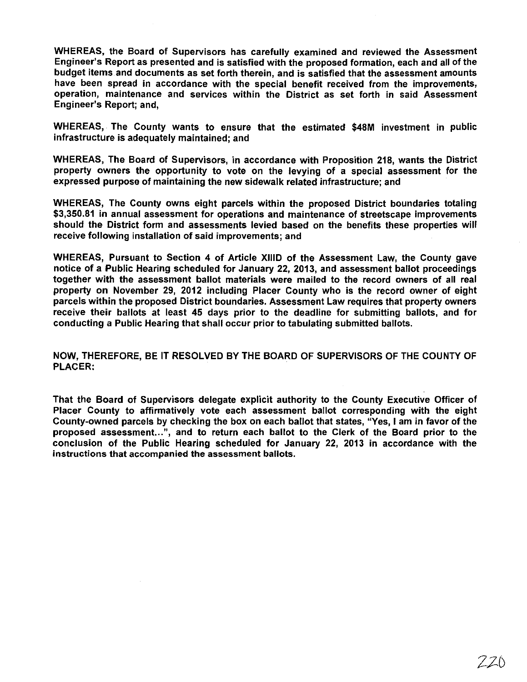WHEREAS, the Board of Supervisors has carefully examined and reviewed the Assessment Engineer's Report as presented and is satisfied with the proposed formation, each and all of the budget items and documents as set forth therein, and is satisfied that the assessment amounts have been spread in accordance with the special benefit received from the improvements, operation, maintenance and services within the District as set forth in said Assessment Engineer's Report; and,

WHEREAS, The County wants to ensure that the estimated \$48M investment in public infrastructure is adequately maintained; and

WHEREAS, The Board of Supervisors, in accordance with Proposition 218, wants the District property owners the opportunity to vote on the levying of a special assessment for the expressed purpose of maintaining the new sidewalk related infrastructure; and

WHEREAS, The County owns eight parcels within the proposed District boundaries totaling \$3,350.81 in annual assessment for operations and maintenance of streetscape improvements should the District form and assessments levied based on the benefits these properties will receive following installation of said improvements; and

WHEREAS, Pursuant to Section 4 of Article XIlID of the Assessment Law, the County gave notice of a Public Hearing scheduled for January 22, 2013, and assessment ballot proceedings together with the assessment ballot materials were mailed to the record owners of all real property on November 29, 2012 including Placer County who is the record owner of eight parcels within the proposed District boundaries. Assessment Law requires that property owners receive their ballots at least 45 days prior to the deadline for submitting ballots, and for conducting a Public Hearing that shall occur prior to tabulating submitted ballots.

NOW, THEREFORE, BE **IT** RESOLVED BY THE BOARD OF SUPERVISORS OF THE COUNTY OF PLACER:

That the Board of Supervisors delegate explicit authority to the County Executive Officer of Placer County to affirmatively vote each assessment ballot corresponding with the eight County-owned parcels by checking the box on each ballot that states, "Yes, I am in favor of the proposed assessment...", and to return each ballot to the Clerk of the Board prior to the conclusion of the Public Hearing scheduled for January 22, 2013 in accordance with the instructions that accompanied the assessment ballots.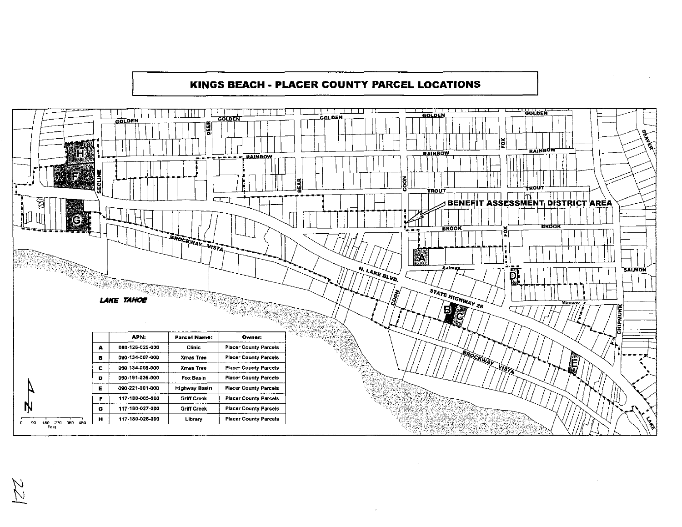## KINGS BEACH - PLACER COUNTY PARCEL LOCATIONS